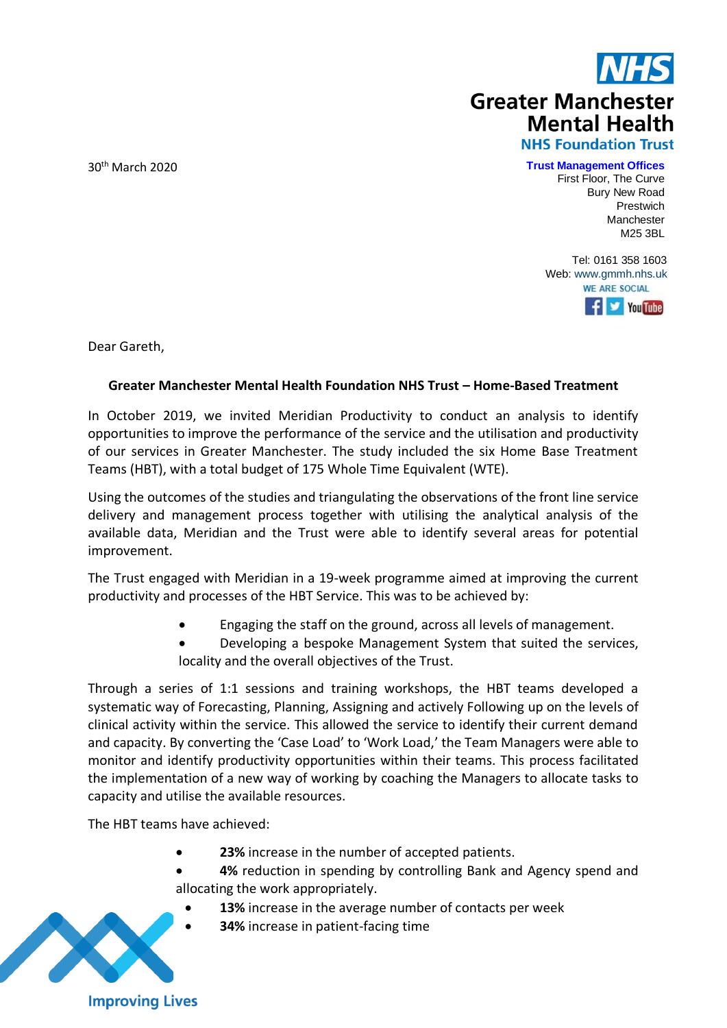

30th March 2020

 **Trust Management Offices**

First Floor, The Curve Bury New Road Prestwich Manchester M25 3BL

Tel: 0161 358 1603 Web[: www.gmmh.nhs.uk](http://www.gmmh.nhs.uk/)**WE ARE SOCIAL**  $\left| \cdot \right|$   $\left| \cdot \right|$  You Tube

Dear Gareth,

## **Greater Manchester Mental Health Foundation NHS Trust – Home-Based Treatment**

In October 2019, we invited Meridian Productivity to conduct an analysis to identify opportunities to improve the performance of the service and the utilisation and productivity of our services in Greater Manchester. The study included the six Home Base Treatment Teams (HBT), with a total budget of 175 Whole Time Equivalent (WTE).

Using the outcomes of the studies and triangulating the observations of the front line service delivery and management process together with utilising the analytical analysis of the available data, Meridian and the Trust were able to identify several areas for potential improvement.

The Trust engaged with Meridian in a 19-week programme aimed at improving the current productivity and processes of the HBT Service. This was to be achieved by:

- Engaging the staff on the ground, across all levels of management.
- Developing a bespoke Management System that suited the services, locality and the overall objectives of the Trust.

Through a series of 1:1 sessions and training workshops, the HBT teams developed a systematic way of Forecasting, Planning, Assigning and actively Following up on the levels of clinical activity within the service. This allowed the service to identify their current demand and capacity. By converting the 'Case Load' to 'Work Load,' the Team Managers were able to monitor and identify productivity opportunities within their teams. This process facilitated the implementation of a new way of working by coaching the Managers to allocate tasks to capacity and utilise the available resources.

The HBT teams have achieved:

- **23%** increase in the number of accepted patients.
- **4%** reduction in spending by controlling Bank and Agency spend and allocating the work appropriately.
	- 13% increase in the average number of contacts per week
	- **34%** increase in patient-facing time